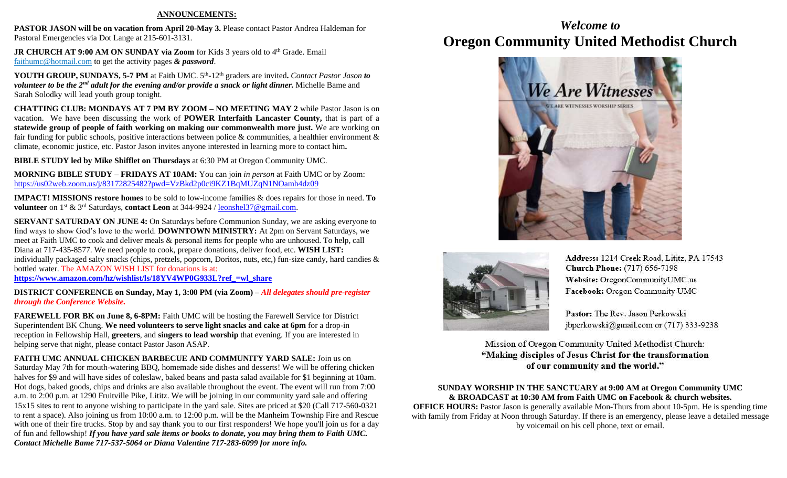#### **ANNOUNCEMENTS:**

**PASTOR JASON will be on vacation from April 20-May 3. Please contact Pastor Andrea Haldeman for** Pastoral Emergencies via Dot Lange at 215-601-3131.

**JR CHURCH AT 9:00 AM ON SUNDAY via Zoom** for Kids 3 years old to 4<sup>th</sup> Grade. Email [faithumc@hotmail.com](about:blank) to get the activity pages *& password*.

YOUTH GROUP, SUNDAYS, 5-7 PM at Faith UMC. 5<sup>th</sup>-12<sup>th</sup> graders are invited. Contact Pastor Jason to *volunteer to be the 2nd adult for the evening and/or provide a snack or light dinner.* Michelle Bame and Sarah Solodky will lead youth group tonight.

**CHATTING CLUB: MONDAYS AT 7 PM BY ZOOM – NO MEETING MAY 2** while Pastor Jason is on vacation. We have been discussing the work of **POWER Interfaith Lancaster County,** that is part of a **statewide group of people of faith working on making our commonwealth more just.** We are working on fair funding for public schools, positive interactions between police & communities, a healthier environment & climate, economic justice, etc. Pastor Jason invites anyone interested in learning more to contact him**.**

**BIBLE STUDY led by Mike Shifflet on Thursdays** at 6:30 PM at Oregon Community UMC.

**MORNING BIBLE STUDY – FRIDAYS AT 10AM:** You can join *in person* at Faith UMC or by Zoom: <https://us02web.zoom.us/j/83172825482?pwd=VzBkd2p0ci9KZ1BqMUZqN1NOamh4dz09>

**IMPACT! MISSIONS restore homes** to be sold to low-income families & does repairs for those in need. **To volunteer** on 1st & 3rd Saturdays, **contact Leon** at 344-9924 / [leonshel37@gmail.com.](about:blank)

**SERVANT SATURDAY ON JUNE 4:** On Saturdays before Communion Sunday, we are asking everyone to find ways to show God's love to the world. **DOWNTOWN MINISTRY:** At 2pm on Servant Saturdays, we meet at Faith UMC to cook and deliver meals & personal items for people who are unhoused. To help, call Diana at 717-435-8577. We need people to cook, prepare donations, deliver food, etc. **WISH LIST:**  individually packaged salty snacks (chips, pretzels, popcorn, Doritos, nuts, etc,) fun-size candy, hard candies & bottled water. The AMAZON WISH LIST for donations is at: **[https://www.amazon.com/hz/wishlist/ls/18YV4WP0G933L?ref\\_=wl\\_share](https://www.amazon.com/hz/wishlist/ls/18YV4WP0G933L?ref_=wl_share)**

**DISTRICT CONFERENCE on Sunday, May 1, 3:00 PM (via Zoom) –** *All delegates should pre-register* 

*through the Conference Website.* **FAREWELL FOR BK on June 8, 6-8PM:** Faith UMC will be hosting the Farewell Service for District

Superintendent BK Chung. **We need volunteers to serve light snacks and cake at 6pm** for a drop-in reception in Fellowship Hall, **greeters**, and **singers to lead worship** that evening. If you are interested in helping serve that night, please contact Pastor Jason ASAP.

**FAITH UMC ANNUAL CHICKEN BARBECUE AND COMMUNITY YARD SALE:** Join us on Saturday May 7th for mouth-watering BBQ, homemade side dishes and desserts! We will be offering chicken halves for \$9 and will have sides of coleslaw, baked beans and pasta salad available for \$1 beginning at 10am. Hot dogs, baked goods, chips and drinks are also available throughout the event. The event will run from 7:00 a.m. to 2:00 p.m. at 1290 Fruitville Pike, Lititz. We will be joining in our community yard sale and offering 15x15 sites to rent to anyone wishing to participate in the yard sale. Sites are priced at \$20 (Call 717-560-0321 to rent a space). Also joining us from 10:00 a.m. to 12:00 p.m. will be the Manheim Township Fire and Rescue with one of their fire trucks. Stop by and say thank you to our first responders! We hope you'll join us for a day of fun and fellowship! *If you have yard sale items or books to donate, you may bring them to Faith UMC. Contact Michelle Bame 717-537-5064 or Diana Valentine 717-283-6099 for more info.*

## *Welcome to* **Oregon Community United Methodist Church**





Address: 1214 Creek Road, Lititz, PA 17543 **Church Phone:** (717) 656-7198 Website: OregonCommunityUMC.us Facebook: Oregon Community UMC

Pastor: The Rev. Jason Perkowski jbperkowski@gmail.com or (717) 333-9238

Mission of Oregon Community United Methodist Church: "Making disciples of Jesus Christ for the transformation of our community and the world."

### **SUNDAY WORSHIP IN THE SANCTUARY at 9:00 AM at Oregon Community UMC & BROADCAST at 10:30 AM from Faith UMC on Facebook & church websites.**

**OFFICE HOURS:** Pastor Jason is generally available Mon-Thurs from about 10-5pm. He is spending time with family from Friday at Noon through Saturday. If there is an emergency, please leave a detailed message by voicemail on his cell phone, text or email.